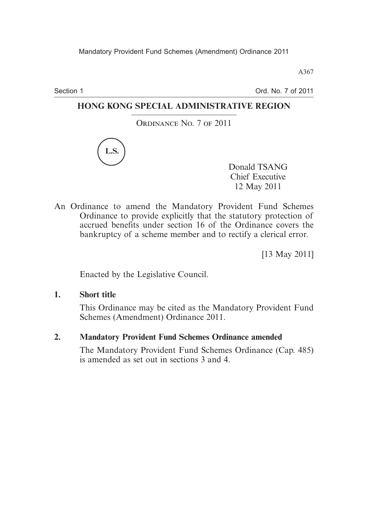A367

Section 1

Ord. No. 7 of 2011

# **HONG KONG SPECIAL ADMINISTRATIVE REGION**

ORDINANCE No. 7 OF 2011



Donald TSANG Chief Executive 12 May 2011

An Ordinance to amend the Mandatory Provident Fund Schemes Ordinance to provide explicitly that the statutory protection of accrued benefits under section 16 of the Ordinance covers the bankruptcy of a scheme member and to rectify a clerical error.

[13 May 2011]

Enacted by the Legislative Council.

**1. Short title**

This Ordinance may be cited as the Mandatory Provident Fund Schemes (Amendment) Ordinance 2011.

## **2. Mandatory Provident Fund Schemes Ordinance amended**

The Mandatory Provident Fund Schemes Ordinance (Cap. 485) is amended as set out in sections 3 and 4.